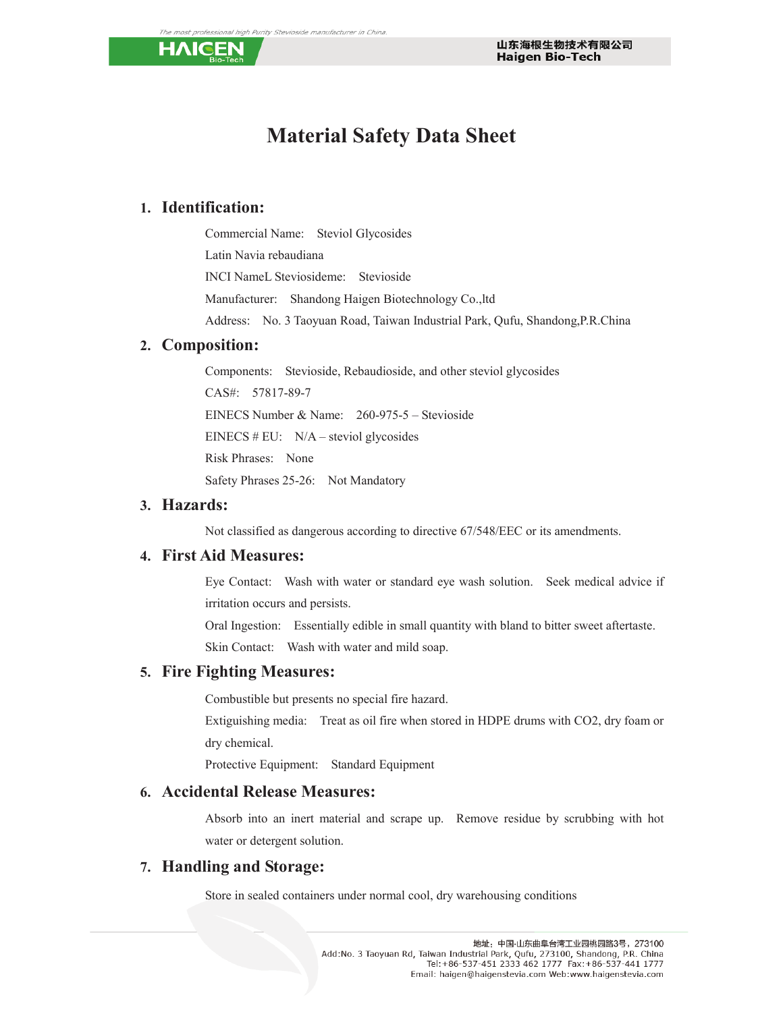

# **Material Safety Data Sheet**

#### **1. Identification:**

Commercial Name: Steviol Glycosides Latin Navia rebaudiana INCI NameL Steviosideme: Stevioside Manufacturer: Shandong Haigen Biotechnology Co.,ltd Address: No. 3 Taoyuan Road, Taiwan Industrial Park, Qufu, Shandong,P.R.China

#### **2. Composition:**

Components: Stevioside, Rebaudioside, and other steviol glycosides CAS#: 57817-89-7 EINECS Number & Name: 260-975-5 – Stevioside EINECS  $# EU: N/A – 4$  steviol glycosides Risk Phrases: None Safety Phrases 25-26: Not Mandatory

#### **3. Hazards:**

Not classified as dangerous according to directive 67/548/EEC or its amendments.

#### **4. First Aid Measures:**

Eye Contact: Wash with water or standard eye wash solution. Seek medical advice if irritation occurs and persists.

Oral Ingestion: Essentially edible in small quantity with bland to bitter sweet aftertaste. Skin Contact: Wash with water and mild soap.

#### **5. Fire Fighting Measures:**

Combustible but presents no special fire hazard.

Extiguishing media: Treat as oil fire when stored in HDPE drums with CO2, dry foam or dry chemical.

Protective Equipment: Standard Equipment

#### **6. Accidental Release Measures:**

Absorb into an inert material and scrape up. Remove residue by scrubbing with hot water or detergent solution.

#### **7. Handling and Storage:**

Store in sealed containers under normal cool, dry warehousing conditions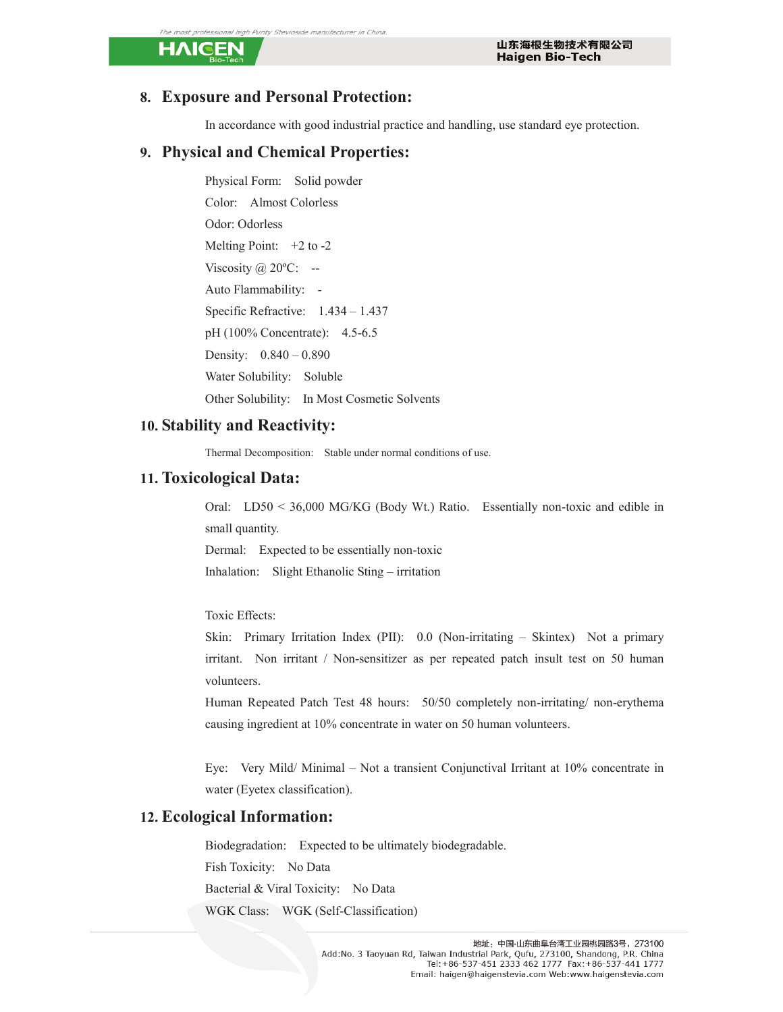#### ional high Purity Stevioside manufacturer in China

HAIGEN

#### **8. Exposure and Personal Protection:**

In accordance with good industrial practice and handling, use standard eye protection.

#### **9. Physical and Chemical Properties:**

Physical Form: Solid powder Color: Almost Colorless Odor: Odorless Melting Point:  $+2$  to  $-2$ Viscosity  $@$  20 ${}^{\circ}$ C: --Auto Flammability: - Specific Refractive: 1.434 – 1.437 pH (100% Concentrate): 4.5-6.5 Density: 0.840 – 0.890 Water Solubility: Soluble Other Solubility: In Most Cosmetic Solvents

#### **10. Stability and Reactivity:**

Thermal Decomposition: Stable under normal conditions of use.

#### **11. Toxicological Data:**

Oral: LD50 < 36,000 MG/KG (Body Wt.) Ratio. Essentially non-toxic and edible in small quantity. Dermal: Expected to be essentially non-toxic

Inhalation: Slight Ethanolic Sting – irritation

Toxic Effects:

Skin: Primary Irritation Index (PII): 0.0 (Non-irritating – Skintex) Not a primary irritant. Non irritant / Non-sensitizer as per repeated patch insult test on 50 human volunteers.

Human Repeated Patch Test 48 hours: 50/50 completely non-irritating/ non-erythema causing ingredient at 10% concentrate in water on 50 human volunteers.

Eye: Very Mild/ Minimal – Not a transient Conjunctival Irritant at 10% concentrate in water (Eyetex classification).

#### **12. Ecological Information:**

Biodegradation: Expected to be ultimately biodegradable. Fish Toxicity: No Data Bacterial & Viral Toxicity: No Data WGK Class: WGK (Self-Classification)